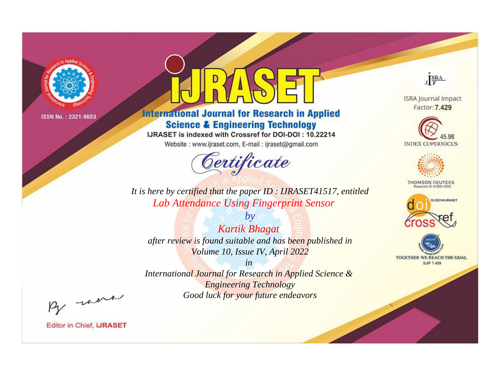

# **International Journal for Research in Applied Science & Engineering Technology**

IJRASET is indexed with Crossref for DOI-DOI: 10.22214

Website: www.ijraset.com, E-mail: ijraset@gmail.com



JERA

**ISRA Journal Impact** Factor: 7.429





**THOMSON REUTERS** 



TOGETHER WE REACH THE GOAL **SJIF 7.429** 

*It is here by certified that the paper ID : IJRASET41517, entitled Lab Attendance Using Fingerprint Sensor*

*by Kartik Bhagat after review is found suitable and has been published in Volume 10, Issue IV, April 2022*

*in* 

*International Journal for Research in Applied Science & Engineering Technology Good luck for your future endeavors*

By morn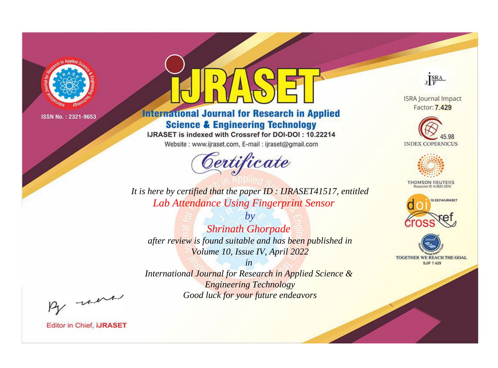

# **International Journal for Research in Applied Science & Engineering Technology**

IJRASET is indexed with Crossref for DOI-DOI: 10.22214

Website: www.ijraset.com, E-mail: ijraset@gmail.com



JERA

**ISRA Journal Impact** Factor: 7.429





**THOMSON REUTERS** 



TOGETHER WE REACH THE GOAL **SJIF 7.429** 

It is here by certified that the paper ID: IJRASET41517, entitled Lab Attendance Using Fingerprint Sensor

**Shrinath Ghorpade** after review is found suitable and has been published in Volume 10, Issue IV, April 2022

 $b\nu$ 

 $in$ International Journal for Research in Applied Science & **Engineering Technology** Good luck for your future endeavors

By morn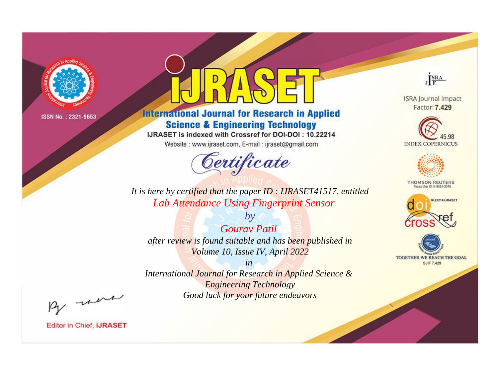

# **International Journal for Research in Applied Science & Engineering Technology**

IJRASET is indexed with Crossref for DOI-DOI: 10.22214

Website: www.ijraset.com, E-mail: ijraset@gmail.com



JERA

**ISRA Journal Impact** Factor: 7.429





**THOMSON REUTERS** 



TOGETHER WE REACH THE GOAL **SJIF 7.429** 

*It is here by certified that the paper ID : IJRASET41517, entitled Lab Attendance Using Fingerprint Sensor*

*Gourav Patil after review is found suitable and has been published in Volume 10, Issue IV, April 2022*

*by*

*in* 

*International Journal for Research in Applied Science & Engineering Technology Good luck for your future endeavors*

By morn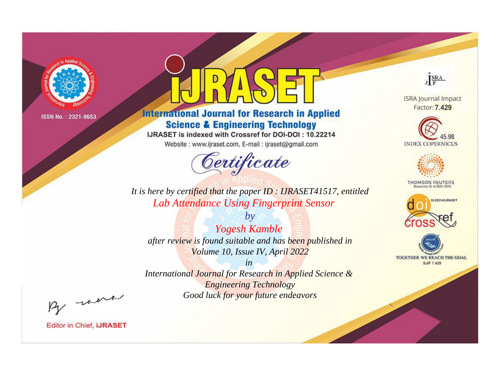

# **International Journal for Research in Applied Science & Engineering Technology**

IJRASET is indexed with Crossref for DOI-DOI: 10.22214

Website: www.ijraset.com, E-mail: ijraset@gmail.com



JERA

**ISRA Journal Impact** Factor: 7.429





**THOMSON REUTERS** 



TOGETHER WE REACH THE GOAL **SJIF 7.429** 

It is here by certified that the paper ID: IJRASET41517, entitled Lab Attendance Using Fingerprint Sensor

**Yogesh Kamble** after review is found suitable and has been published in Volume 10, Issue IV, April 2022

 $b\nu$ 

 $in$ International Journal for Research in Applied Science & **Engineering Technology** Good luck for your future endeavors

By morn